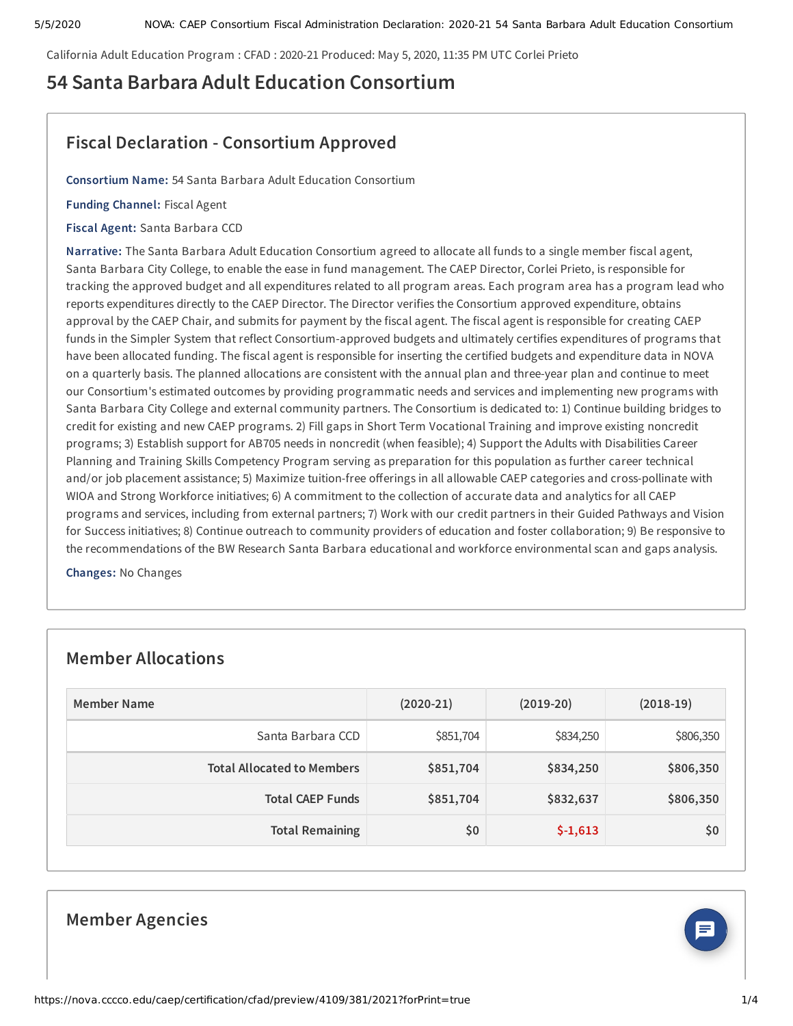California Adult Education Program : CFAD : 2020-21 Produced: May 5, 2020, 11:35 PM UTC Corlei Prieto

# **54 Santa Barbara Adult Education Consortium**

# **Fiscal Declaration - Consortium Approved**

**Consortium Name:** 54 Santa Barbara Adult Education Consortium

**Funding Channel:** Fiscal Agent

**Fiscal Agent:** Santa Barbara CCD

**Narrative:** The Santa Barbara Adult Education Consortium agreed to allocate all funds to a single member fiscal agent, Santa Barbara City College, to enable the ease in fund management. The CAEP Director, Corlei Prieto, is responsible for tracking the approved budget and all expenditures related to all program areas. Each program area has a program lead who reports expenditures directly to the CAEP Director. The Director verifies the Consortium approved expenditure, obtains approval by the CAEP Chair, and submits for payment by the fiscal agent. The fiscal agent is responsible for creating CAEP funds in the Simpler System that reflect Consortium-approved budgets and ultimately certifies expenditures of programs that have been allocated funding. The fiscal agent is responsible for inserting the certified budgets and expenditure data in NOVA on a quarterly basis. The planned allocations are consistent with the annual plan and three-year plan and continue to meet our Consortium's estimated outcomes by providing programmatic needs and services and implementing new programs with Santa Barbara City College and external community partners. The Consortium is dedicated to: 1) Continue building bridges to credit for existing and new CAEP programs. 2) Fill gaps in Short Term Vocational Training and improve existing noncredit programs; 3) Establish support for AB705 needs in noncredit (when feasible); 4) Support the Adults with Disabilities Career Planning and Training Skills Competency Program serving as preparation for this population as further career technical and/or job placement assistance; 5) Maximize tuition-free offerings in all allowable CAEP categories and cross-pollinate with WIOA and Strong Workforce initiatives; 6) A commitment to the collection of accurate data and analytics for all CAEP programs and services, including from external partners; 7) Work with our credit partners in their Guided Pathways and Vision for Success initiatives; 8) Continue outreach to community providers of education and foster collaboration; 9) Be responsive to the recommendations of the BW Research Santa Barbara educational and workforce environmental scan and gaps analysis.

**Changes:** No Changes

## **Member Allocations**

| Member Name                       | $(2020-21)$ | $(2019-20)$ | $(2018-19)$ |
|-----------------------------------|-------------|-------------|-------------|
| Santa Barbara CCD                 | \$851,704   | \$834,250   | \$806,350   |
| <b>Total Allocated to Members</b> | \$851,704   | \$834,250   | \$806,350   |
| <b>Total CAEP Funds</b>           | \$851,704   | \$832,637   | \$806,350   |
| <b>Total Remaining</b>            | \$0         | $$-1,613$   | \$0         |





 $\boldsymbol{\Xi}$  )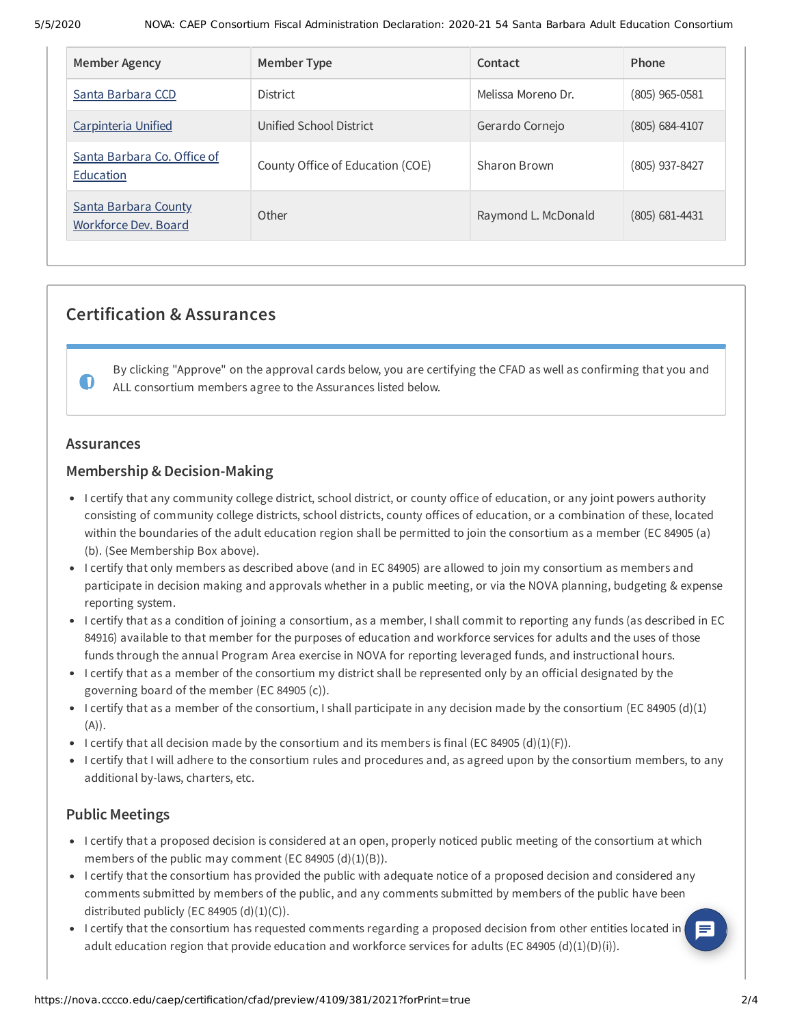| Member Agency                                | Member Type                      | Contact             | Phone            |
|----------------------------------------------|----------------------------------|---------------------|------------------|
| Santa Barbara CCD                            | <b>District</b>                  | Melissa Moreno Dr.  | $(805)$ 965-0581 |
| Carpinteria Unified                          | Unified School District          | Gerardo Cornejo     | $(805)$ 684-4107 |
| Santa Barbara Co. Office of<br>Education     | County Office of Education (COE) | Sharon Brown        | $(805)$ 937-8427 |
| Santa Barbara County<br>Workforce Dev. Board | Other                            | Raymond L. McDonald | $(805)$ 681-4431 |

## **Certification & Assurances**

By clicking "Approve" on the approval cards below, you are certifying the CFAD as well as confirming that you and ALL consortium members agree to the Assurances listed below.

#### **Assurances**

 $\bullet$ 

### **Membership & Decision-Making**

- I certify that any community college district, school district, or county office of education, or any joint powers authority consisting of community college districts, school districts, county offices of education, or a combination of these, located within the boundaries of the adult education region shall be permitted to join the consortium as a member (EC 84905 (a) (b). (See Membership Box above).
- I certify that only members as described above (and in EC 84905) are allowed to join my consortium as members and participate in decision making and approvals whether in a public meeting, or via the NOVA planning, budgeting & expense reporting system.
- I certify that as a condition of joining a consortium, as a member, I shall commit to reporting any funds (as described in EC 84916) available to that member for the purposes of education and workforce services for adults and the uses of those funds through the annual Program Area exercise in NOVA for reporting leveraged funds, and instructional hours.
- I certify that as a member of the consortium my district shall be represented only by an official designated by the governing board of the member (EC 84905 (c)).
- I certify that as a member of the consortium, I shall participate in any decision made by the consortium (EC 84905 (d)(1) (A)).
- I certify that all decision made by the consortium and its members is final (EC 84905 (d)(1)(F)).
- I certify that I will adhere to the consortium rules and procedures and, as agreed upon by the consortium members, to any additional by-laws, charters, etc.

## **Public Meetings**

- I certify that a proposed decision is considered at an open, properly noticed public meeting of the consortium at which members of the public may comment (EC 84905  $(d)(1)(B)$ ).
- I certify that the consortium has provided the public with adequate notice of a proposed decision and considered any comments submitted by members of the public, and any comments submitted by members of the public have been distributed publicly (EC 84905  $(d)(1)(C)$ ).
- I certify that the consortium has requested comments regarding a proposed decision from other entities located in adult education region that provide education and workforce services for adults (EC 84905 (d)(1)(D)(i)).

 $\boldsymbol{\Xi}$  )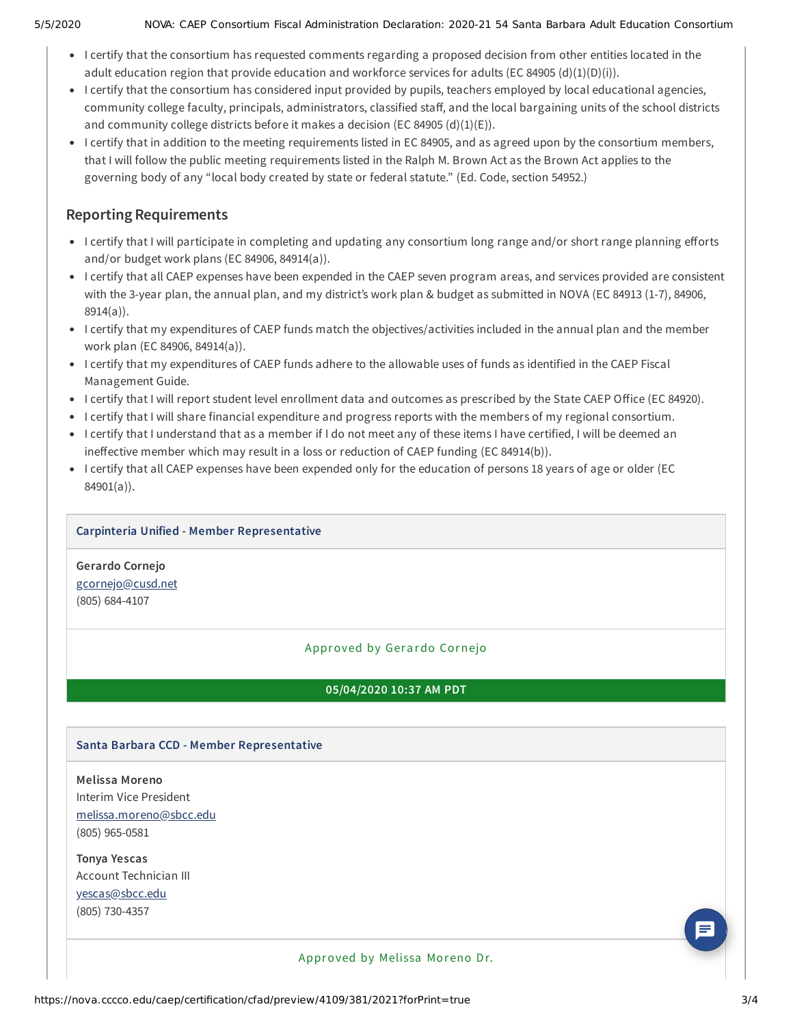#### 5/5/2020 NOVA: CAEP Consortium Fiscal Administration Declaration: 2020-21 54 Santa Barbara Adult Education Consortium

- I certify that the consortium has requested comments regarding a proposed decision from other entities located in the adult education region that provide education and workforce services for adults (EC 84905 (d)(1)(D)(i)).
- I certify that the consortium has considered input provided by pupils, teachers employed by local educational agencies, community college faculty, principals, administrators, classified staff, and the local bargaining units of the school districts and community college districts before it makes a decision (EC 84905  $(d)(1)(E)$ ).
- I certify that in addition to the meeting requirements listed in EC 84905, and as agreed upon by the consortium members, that I will follow the public meeting requirements listed in the Ralph M. Brown Act as the Brown Act applies to the governing body of any "local body created by state or federal statute." (Ed. Code, section 54952.)

## **Reporting Requirements**

- I certify that I will participate in completing and updating any consortium long range and/or short range planning efforts and/or budget work plans (EC 84906, 84914(a)).
- I certify that all CAEP expenses have been expended in the CAEP seven program areas, and services provided are consistent with the 3-year plan, the annual plan, and my district's work plan & budget as submitted in NOVA (EC 84913 (1-7), 84906, 8914(a)).
- I certify that my expenditures of CAEP funds match the objectives/activities included in the annual plan and the member work plan (EC 84906, 84914(a)).
- I certify that my expenditures of CAEP funds adhere to the allowable uses of funds as identified in the CAEP Fiscal Management Guide.
- I certify that I will report student level enrollment data and outcomes as prescribed by the State CAEP Office (EC 84920).
- I certify that I will share financial expenditure and progress reports with the members of my regional consortium.
- I certify that I understand that as a member if I do not meet any of these items I have certified, I will be deemed an ineffective member which may result in a loss or reduction of CAEP funding (EC 84914(b)).
- I certify that all CAEP expenses have been expended only for the education of persons 18 years of age or older (EC 84901(a)).

## **Carpinteria Unified - Member Representative**

**Gerardo Cornejo** [gcornejo@cusd.net](mailto:gcornejo@cusd.net) (805) 684-4107

## Approved by Gerardo Cornejo

## **05/04/2020 10:37 AM PDT**

## **Santa Barbara CCD - Member Representative**

**Melissa Moreno** Interim Vice President [melissa.moreno@sbcc.edu](mailto:melissa.moreno@sbcc.edu) (805) 965-0581

**Tonya Yescas** Account Technician III [yescas@sbcc.edu](mailto:yescas@sbcc.edu) (805) 730-4357

Approved by Melissa Moreno Dr.

 $\Xi$  )